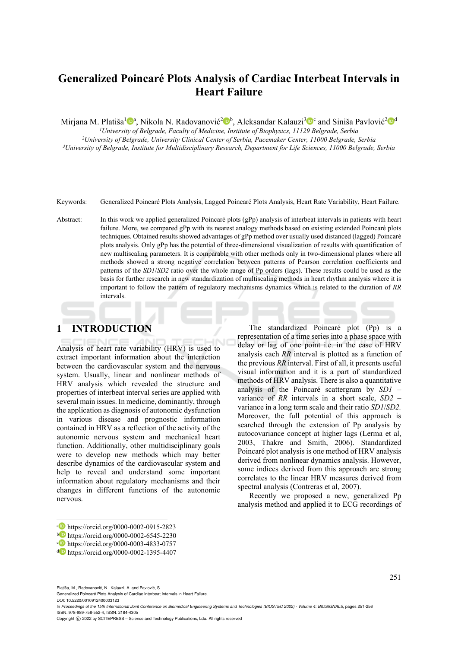# **Generalized Poincaré Plots Analysis of Cardiac Interbeat Intervals in Heart Failure**

Mirjana M. Platiša<sup>1</sup><sup>a</sup>, Nikola N. Radovanović<sup>2</sup><sup>b</sup>, Aleksandar Kalauzi<sup>3</sup><sup>o</sup> and Siniša Pavlović<sup>2</sup><sup>od</sup><sup>1</sup><br><sup>1</sup>*University of Belgrade, Faculty of Medicine, Institute of Biophysics, 11129 Belgrade, Serbia* 

<sup>2</sup>University of Belgrade, University Clinical Center of Serbia, Pacemaker Center, 11000 Belgrade, Serbia<sup>2</sup>University of Belgrade, Institute for Multidisciplinary Research, Department for Life Sciences, 11000 Belgrade, Se

Keywords: Generalized Poincaré Plots Analysis, Lagged Poincaré Plots Analysis, Heart Rate Variability, Heart Failure.

Abstract: In this work we applied generalized Poincaré plots (gPp) analysis of interbeat intervals in patients with heart failure. More, we compared gPp with its nearest analogy methods based on existing extended Poincaré plots techniques. Obtained results showed advantages of gPp method over usually used distanced (lagged) Poincaré plots analysis. Only gPp has the potential of three-dimensional visualization of results with quantification of new multiscaling parameters. It is comparable with other methods only in two-dimensional planes where all methods showed a strong negative correlation between patterns of Pearson correlation coefficients and patterns of the *SD1*/*SD2* ratio over the whole range of Pp orders (lags). These results could be used as the basis for further research in new standardization of multiscaling methods in heart rhythm analysis where it is important to follow the pattern of regulatory mechanisms dynamics which is related to the duration of *RR* intervals.

## **1 INTRODUCTION**

Analysis of heart rate variability (HRV) is used to extract important information about the interaction between the cardiovascular system and the nervous system. Usually, linear and nonlinear methods of HRV analysis which revealed the structure and properties of interbeat interval series are applied with several main issues. In medicine, dominantly, through the application as diagnosis of autonomic dysfunction in various disease and prognostic information contained in HRV as a reflection of the activity of the autonomic nervous system and mechanical heart function. Additionally, other multidisciplinary goals were to develop new methods which may better describe dynamics of the cardiovascular system and help to reveal and understand some important information about regulatory mechanisms and their changes in different functions of the autonomic nervous.

The standardized Poincaré plot (Pp) is a representation of a time series into a phase space with delay or lag of one point i.e. in the case of HRV analysis each *RR* interval is plotted as a function of the previous *RR* interval. First of all, it presents useful visual information and it is a part of standardized methods of HRV analysis. There is also a quantitative analysis of the Poincaré scattergram by *SD1* – variance of *RR* intervals in a short scale, *SD2* – variance in a long term scale and their ratio *SD1*/*SD2.* Moreover, the full potential of this approach is searched through the extension of Pp analysis by autocovariance concept at higher lags (Lerma et al, 2003, Thakre and Smith, 2006). Standardized Poincaré plot analysis is one method of HRV analysis derived from nonlinear dynamics analysis. However, some indices derived from this approach are strong correlates to the linear HRV measures derived from spectral analysis (Contreras et al, 2007).

Recently we proposed a new, generalized Pp analysis method and applied it to ECG recordings of

251

Platiša, M., Radovanović, N., Kalauzi, A. and Pavlović, S.

Generalized Poincaré Plots Analysis of Cardiac Interbeat Intervals in Heart Failure. DOI: 10.5220/0010912400003123

In *Proceedings of the 15th International Joint Conference on Biomedical Engineering Systems and Technologies (BIOSTEC 2022) - Volume 4: BIOSIGNALS*, pages 251-256 ISBN: 978-989-758-552-4; ISSN: 2184-4305

a https://orcid.org/0000-0002-0915-2823<br>
b https://orcid.org/0000-0002-6545-2230<br>
c https://orcid.org/0000-0003-4833-0757<br>
d https://orcid.org/0000-0002-1395-4407

Copyright (C) 2022 by SCITEPRESS - Science and Technology Publications, Lda. All rights reserved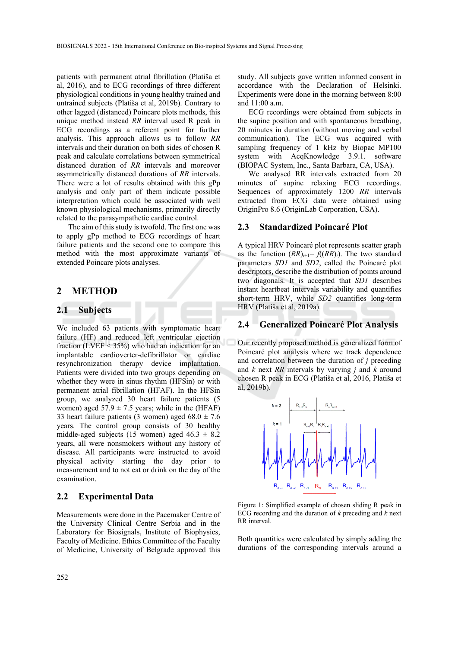patients with permanent atrial fibrillation (Platiša et al, 2016), and to ECG recordings of three different physiological conditions in young healthy trained and untrained subjects (Platiša et al, 2019b). Contrary to other lagged (distanced) Poincare plots methods, this unique method instead *RR* interval used R peak in ECG recordings as a referent point for further analysis. This approach allows us to follow *RR* intervals and their duration on both sides of chosen R peak and calculate correlations between symmetrical distanced duration of *RR* intervals and moreover asymmetrically distanced durations of *RR* intervals. There were a lot of results obtained with this gPp analysis and only part of them indicate possible interpretation which could be associated with well known physiological mechanisms, primarily directly related to the parasympathetic cardiac control.

The aim of this study is twofold. The first one was to apply gPp method to ECG recordings of heart failure patients and the second one to compare this method with the most approximate variants of extended Poincare plots analyses.

### **2 METHOD**

#### **2.1 Subjects**

We included 63 patients with symptomatic heart failure (HF) and reduced left ventricular ejection fraction (LVEF < 35%) who had an indication for an implantable cardioverter-defibrillator or cardiac resynchronization therapy device implantation. Patients were divided into two groups depending on whether they were in sinus rhythm (HFSin) or with permanent atrial fibrillation (HFAF). In the HFSin group, we analyzed 30 heart failure patients (5 women) aged  $57.9 \pm 7.5$  years; while in the (HFAF) 33 heart failure patients (3 women) aged  $68.0 \pm 7.6$ years. The control group consists of 30 healthy middle-aged subjects (15 women) aged  $46.3 \pm 8.2$ years, all were nonsmokers without any history of disease. All participants were instructed to avoid physical activity starting the day prior to measurement and to not eat or drink on the day of the examination.

#### **2.2 Experimental Data**

Measurements were done in the Pacemaker Centre of the University Clinical Centre Serbia and in the Laboratory for Biosignals, Institute of Biophysics, Faculty of Medicine. Ethics Committee of the Faculty of Medicine, University of Belgrade approved this

study. All subjects gave written informed consent in accordance with the Declaration of Helsinki. Experiments were done in the morning between 8:00 and 11:00 a.m.

ECG recordings were obtained from subjects in the supine position and with spontaneous breathing, 20 minutes in duration (without moving and verbal communication). The ECG was acquired with sampling frequency of 1 kHz by Biopac MP100 system with AcqKnowledge 3.9.1. software (BIOPAC System, Inc., Santa Barbara, CA, USA).

We analysed RR intervals extracted from 20 minutes of supine relaxing ECG recordings. Sequences of approximately 1200 *RR* intervals extracted from ECG data were obtained using OriginPro 8.6 (OriginLab Corporation, USA).

### **2.3 Standardized Poincaré Plot**

A typical HRV Poincaré plot represents scatter graph as the function  $(RR)_{i+1} = f((RR)_i)$ . The two standard parameters *SD1* and *SD2*, called the Poincaré plot descriptors, describe the distribution of points around two diagonals. It is accepted that *SD1* describes instant heartbeat intervals variability and quantifies short-term HRV, while *SD2* quantifies long-term HRV (Platiša et al, 2019a).

#### **2.4 Generalized Poincaré Plot Analysis**

Our recently proposed method is generalized form of Poincaré plot analysis where we track dependence and correlation between the duration of *j* preceding and *k* next *RR* intervals by varying *j* and *k* around chosen R peak in ECG (Platiša et al, 2016, Platiša et al, 2019b).



Figure 1: Simplified example of chosen sliding R peak in ECG recording and the duration of *k* preceding and *k* next RR interval.

Both quantities were calculated by simply adding the durations of the corresponding intervals around a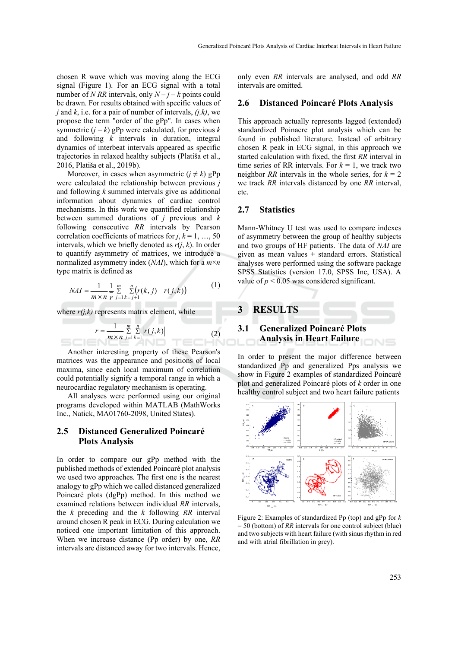chosen R wave which was moving along the ECG signal (Figure 1). For an ECG signal with a total number of *N RR* intervals, only  $N - j - k$  points could be drawn. For results obtained with specific values of *j* and *k*, i.e. for a pair of number of intervals, *(j,k)*, we propose the term "order of the gPp". In cases when symmetric  $(i = k)$  gPp were calculated, for previous *k* and following *k* intervals in duration, integral dynamics of interbeat intervals appeared as specific trajectories in relaxed healthy subjects (Platiša et al., 2016, Platiša et al., 2019b).

Moreover, in cases when asymmetric  $(i \neq k)$  gPp were calculated the relationship between previous *j* and following *k* summed intervals give as additional information about dynamics of cardiac control mechanisms. In this work we quantified relationship between summed durations of *j* previous and *k* following consecutive *RR* intervals by Pearson correlation coefficients of matrices for  $j, k = 1, ..., 50$ intervals, which we briefly denoted as *r*(*j*, *k*). In order to quantify asymmetry of matrices, we introduce a normalized asymmetry index (*NAI*), which for a *m*×*n* type matrix is defined as

$$
NAI = \frac{1}{m \times n} \frac{1}{r} \sum_{j=1}^{m} \sum_{k=j+1}^{n} (r(k, j) - r(j, k))
$$
(1)

where  $r(j,k)$  represents matrix element, while

$$
\bar{r} = \frac{1}{m \times n} \sum_{j=1}^{m} \sum_{k=1}^{n} |r(j,k)|
$$
 (2)

Another interesting property of these Pearson's matrices was the appearance and positions of local maxima, since each local maximum of correlation could potentially signify a temporal range in which a neurocardiac regulatory mechanism is operating.

All analyses were performed using our original programs developed within MATLAB (MathWorks Inc., Natick, MA01760-2098, United States).

#### **2.5 Distanced Generalized Poincaré Plots Analysis**

In order to compare our gPp method with the published methods of extended Poincaré plot analysis we used two approaches. The first one is the nearest analogy to gPp which we called distanced generalized Poincaré plots (dgPp) method. In this method we examined relations between individual *RR* intervals, the *k* preceding and the *k* following *RR* interval around chosen R peak in ECG. During calculation we noticed one important limitation of this approach. When we increase distance (Pp order) by one, *RR* intervals are distanced away for two intervals. Hence,

only even *RR* intervals are analysed, and odd *RR* intervals are omitted.

#### **2.6 Distanced Poincaré Plots Analysis**

This approach actually represents lagged (extended) standardized Poinacre plot analysis which can be found in published literature. Instead of arbitrary chosen R peak in ECG signal, in this approach we started calculation with fixed, the first *RR* interval in time series of RR intervals. For  $k = 1$ , we track two neighbor *RR* intervals in the whole series, for  $k = 2$ we track *RR* intervals distanced by one *RR* interval, etc.

#### **2.7 Statistics**

Mann-Whitney U test was used to compare indexes of asymmetry between the group of healthy subjects and two groups of HF patients. The data of *NAI* are given as mean values  $\pm$  standard errors. Statistical analyses were performed using the software package SPSS Statistics (version 17.0, SPSS Inc, USA). A value of  $p < 0.05$  was considered significant.



In order to present the major difference between standardized Pp and generalized Pps analysis we show in Figure 2 examples of standardized Poincaré plot and generalized Poincaré plots of *k* order in one healthy control subject and two heart failure patients



Figure 2: Examples of standardized Pp (top) and gPp for *k*  = 50 (bottom) of *RR* intervals for one control subject (blue) and two subjects with heart failure (with sinus rhythm in red and with atrial fibrillation in grey).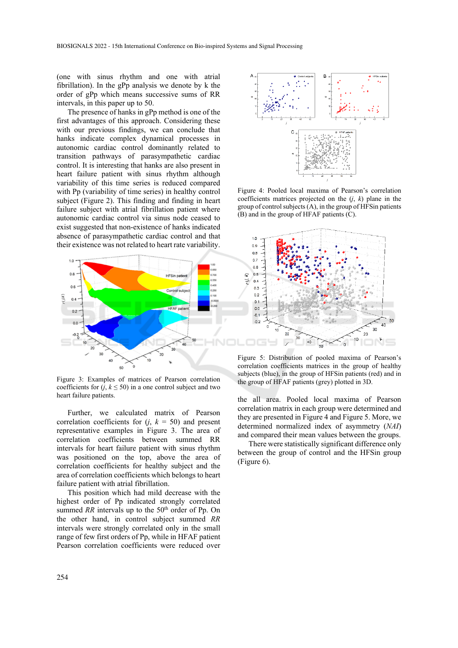(one with sinus rhythm and one with atrial fibrillation). In the gPp analysis we denote by k the order of gPp which means successive sums of RR intervals, in this paper up to 50.

The presence of hanks in gPp method is one of the first advantages of this approach. Considering these with our previous findings, we can conclude that hanks indicate complex dynamical processes in autonomic cardiac control dominantly related to transition pathways of parasympathetic cardiac control. It is interesting that hanks are also present in heart failure patient with sinus rhythm although variability of this time series is reduced compared with Pp (variability of time series) in healthy control subject (Figure 2). This finding and finding in heart failure subject with atrial fibrillation patient where autonomic cardiac control via sinus node ceased to exist suggested that non-existence of hanks indicated absence of parasympathetic cardiac control and that their existence was not related to heart rate variability.



Figure 3: Examples of matrices of Pearson correlation coefficients for  $(j, k \le 50)$  in a one control subject and two heart failure patients.

Further, we calculated matrix of Pearson correlation coefficients for  $(i, k = 50)$  and present representative examples in Figure 3. The area of correlation coefficients between summed RR intervals for heart failure patient with sinus rhythm was positioned on the top, above the area of correlation coefficients for healthy subject and the area of correlation coefficients which belongs to heart failure patient with atrial fibrillation.

This position which had mild decrease with the highest order of Pp indicated strongly correlated summed *RR* intervals up to the 50<sup>th</sup> order of Pp. On the other hand, in control subject summed *RR* intervals were strongly correlated only in the small range of few first orders of Pp, while in HFAF patient Pearson correlation coefficients were reduced over



Figure 4: Pooled local maxima of Pearson's correlation coefficients matrices projected on the  $(j, k)$  plane in the group of control subjects (A), in the group of HFSin patients (B) and in the group of HFAF patients (C).



Figure 5: Distribution of pooled maxima of Pearson's correlation coefficients matrices in the group of healthy subjects (blue), in the group of HFSin patients (red) and in the group of HFAF patients (grey) plotted in 3D.

the all area. Pooled local maxima of Pearson correlation matrix in each group were determined and they are presented in Figure 4 and Figure 5. More, we determined normalized index of asymmetry (*NAI*) and compared their mean values between the groups.

There were statistically significant difference only between the group of control and the HFSin group (Figure 6).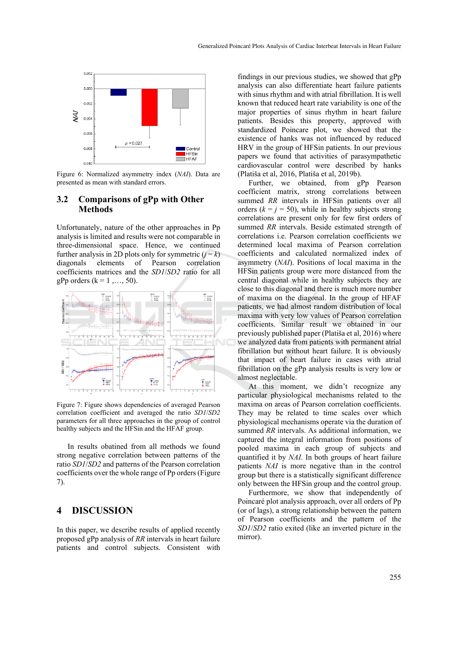

Figure 6: Normalized asymmetry index (*NAI*). Data are presented as mean with standard errors.

### **3.2 Comparisons of gPp with Other Methods**

Unfortunately, nature of the other approaches in Pp analysis is limited and results were not comparable in three-dimensional space. Hence, we continued further analysis in 2D plots only for symmetric  $(j = k)$ diagonals elements of Pearson correlation coefficients matrices and the *SD1*/*SD2* ratio for all gPp orders  $(k = 1, \ldots, 50)$ .



Figure 7: Figure shows dependencies of averaged Pearson correlation coefficient and averaged the ratio *SD1*/*SD2* parameters for all three approaches in the group of control healthy subjects and the HFSin and the HFAF group.

In results obatined from all methods we found strong negative correlation between patterns of the ratio *SD1*/*SD2* and patterns of the Pearson correlation coefficients over the whole range of Pp orders (Figure 7).

## **4 DISCUSSION**

In this paper, we describe results of applied recently proposed gPp analysis of *RR* intervals in heart failure patients and control subjects. Consistent with

findings in our previous studies, we showed that gPp analysis can also differentiate heart failure patients with sinus rhythm and with atrial fibrillation. It is well known that reduced heart rate variability is one of the major properties of sinus rhythm in heart failure patients. Besides this property, approved with standardized Poincare plot, we showed that the existence of hanks was not influenced by reduced HRV in the group of HFSin patients. In our previous papers we found that activities of parasympathetic cardiovascular control were described by hanks (Platiša et al, 2016, Platiša et al, 2019b).

Further, we obtained, from gPp Pearson coefficient matrix, strong correlations between summed *RR* intervals in HFSin patients over all orders  $(k = i = 50)$ , while in healthy subjects strong correlations are present only for few first orders of summed *RR* intervals. Beside estimated strength of correlations i.e. Pearson correlation coefficients we determined local maxima of Pearson correlation coefficients and calculated normalized index of asymmetry (*NAI*). Positions of local maxima in the HFSin patients group were more distanced from the central diagonal while in healthy subjects they are close to this diagonal and there is much more number of maxima on the diagonal. In the group of HFAF patients, we had almost random distribution of local maxima with very low values of Pearson correlation coefficients. Similar result we obtained in our previously published paper (Platiša et al, 2016) where we analyzed data from patients with permanent atrial fibrillation but without heart failure. It is obviously that impact of heart failure in cases with atrial fibrillation on the gPp analysis results is very low or almost neglectable.

At this moment, we didn't recognize any particular physiological mechanisms related to the maxima on areas of Pearson correlation coefficients. They may be related to time scales over which physiological mechanisms operate via the duration of summed *RR* intervals. As additional information, we captured the integral information from positions of pooled maxima in each group of subjects and quantified it by *NAI*. In both groups of heart failure patients *NAI* is more negative than in the control group but there is a statistically significant difference only between the HFSin group and the control group.

Furthermore, we show that independently of Poincaré plot analysis approach, over all orders of Pp (or of lags), a strong relationship between the pattern of Pearson coefficients and the pattern of the *SD1*/*SD2* ratio exited (like an inverted picture in the mirror).